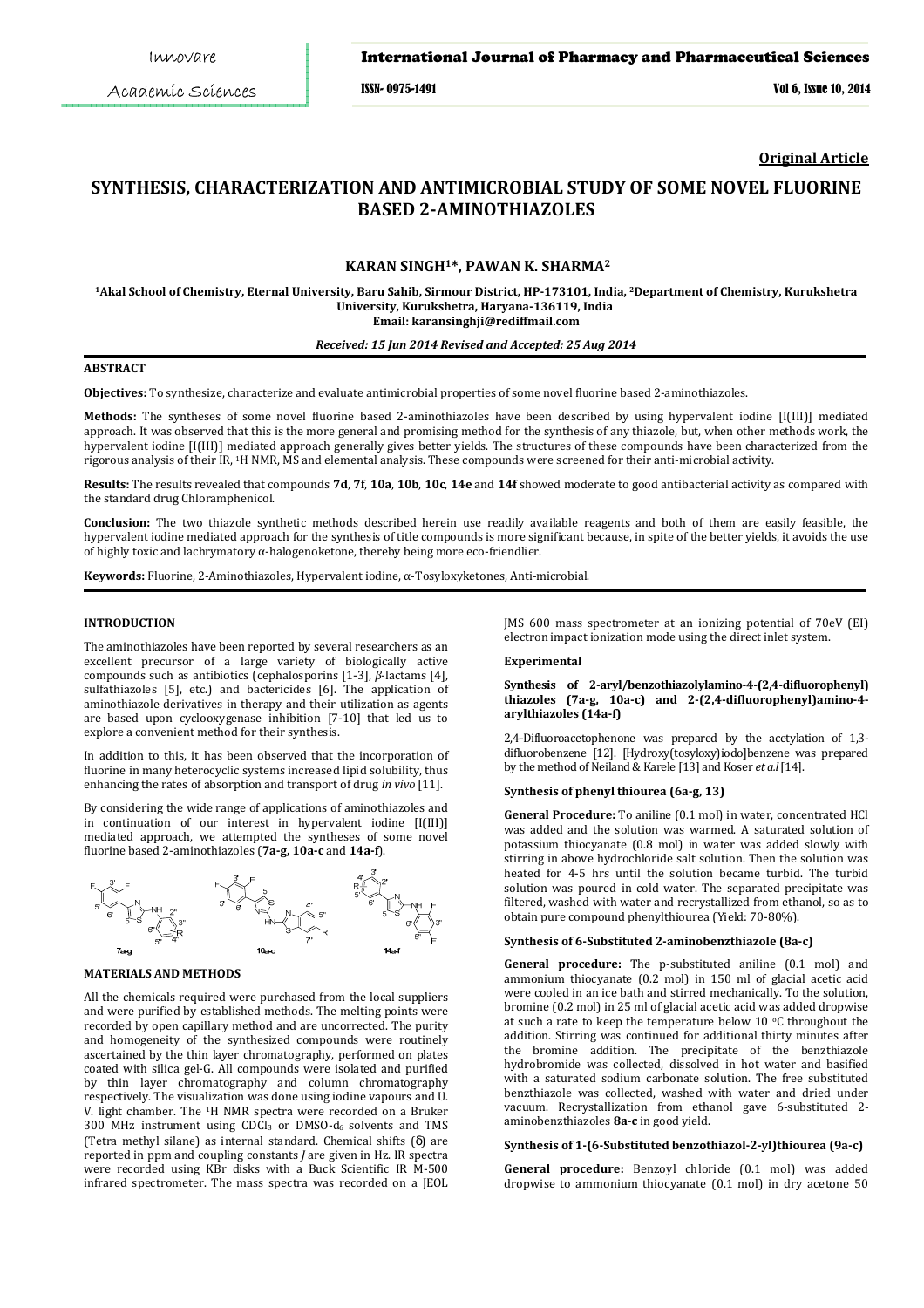Academic Sciences

ISSN- 0975-1491 Vol 6, Issue 10, 2014

**Original Article**

# **SYNTHESIS, CHARACTERIZATION AND ANTIMICROBIAL STUDY OF SOME NOVEL FLUORINE BASED 2-AMINOTHIAZOLES**

# **KARAN SINGH1\*, PAWAN K. SHARMA<sup>2</sup>**

**<sup>1</sup>Akal School of Chemistry, Eternal University, Baru Sahib, Sirmour District, HP-173101, India, <sup>2</sup>Department of Chemistry, Kurukshetra University, Kurukshetra, Haryana-136119, India Email: karansinghji@rediffmail.com**

*Received: 15 Jun 2014 Revised and Accepted: 25 Aug 2014*

# **ABSTRACT**

**Objectives:** To synthesize, characterize and evaluate antimicrobial properties of some novel fluorine based 2-aminothiazoles.

**Methods:** The syntheses of some novel fluorine based 2-aminothiazoles have been described by using hypervalent iodine [I(III)] mediated approach. It was observed that this is the more general and promising method for the synthesis of any thiazole, but, when other methods work, the hypervalent iodine [I(III)] mediated approach generally gives better yields. The structures of these compounds have been characterized from the rigorous analysis of their IR, 1H NMR, MS and elemental analysis. These compounds were screened for their anti-microbial activity.

**Results:** The results revealed that compounds **7d**, **7f**, **10a**, **10b**, **10c**, **14e** and **14f** showed moderate to good antibacterial activity as compared with the standard drug Chloramphenicol.

**Conclusion:** The two thiazole synthetic methods described herein use readily available reagents and both of them are easily feasible, the hypervalent iodine mediated approach for the synthesis of title compounds is more significant because, in spite of the better yields, it avoids the use of highly toxic and lachrymatory α-halogenoketone, thereby being more eco-friendlier.

**Keywords:** Fluorine, 2-Aminothiazoles, Hypervalent iodine, α-Tosyloxyketones, Anti-microbial.

# **INTRODUCTION**

The aminothiazoles have been reported by several researchers as an excellent precursor of a large variety of biologically active compounds such as antibiotics (cephalosporins [1-3], *β*-lactams [4], sulfathiazoles [5], etc.) and bactericides [6]. The application of aminothiazole derivatives in therapy and their utilization as agents are based upon cyclooxygenase inhibition [7-10] that led us to explore a convenient method for their synthesis.

In addition to this, it has been observed that the incorporation of fluorine in many heterocyclic systems increased lipid solubility, thus enhancing the rates of absorption and transport of drug *in vivo* [11].

By considering the wide range of applications of aminothiazoles and in continuation of our interest in hypervalent iodine [I(III)] mediated approach, we attempted the syntheses of some novel fluorine based 2-aminothiazoles (**7a-g, 10a-c** and **14a-f**).





All the chemicals required were purchased from the local suppliers and were purified by established methods. The melting points were recorded by open capillary method and are uncorrected. The purity and homogeneity of the synthesized compounds were routinely ascertained by the thin layer chromatography, performed on plates coated with silica gel-G. All compounds were isolated and purified by thin layer chromatography and column chromatography respectively. The visualization was done using iodine vapours and U. V. light chamber. The 1H NMR spectra were recorded on a Bruker  $300$  MHz instrument using CDCl<sub>3</sub> or DMSO-d<sub>6</sub> solvents and TMS (Tetra methyl silane) as internal standard. Chemical shifts (δ) are reported in ppm and coupling constants *J* are given in Hz. IR spectra were recorded using KBr disks with a Buck Scientific IR M-500 infrared spectrometer. The mass spectra was recorded on a JEOL JMS 600 mass spectrometer at an ionizing potential of 70eV (EI) electron impact ionization mode using the direct inlet system.

#### **Experimental**

### **Synthesis of 2-aryl/benzothiazolylamino-4-(2,4-difluorophenyl) thiazoles (7a-g, 10a-c) and 2-(2,4-difluorophenyl)amino-4 arylthiazoles (14a-f)**

2,4-Difluoroacetophenone was prepared by the acetylation of 1,3 difluorobenzene [12]. [Hydroxy(tosyloxy)iodo]benzene was prepared by the method of Neiland & Karele [13] and Koser *et a.l* [14].

### **Synthesis of phenyl thiourea (6a-g, 13)**

**General Procedure:** To aniline (0.1 mol) in water, concentrated HCl was added and the solution was warmed. A saturated solution of potassium thiocyanate (0.8 mol) in water was added slowly with stirring in above hydrochloride salt solution. Then the solution was heated for 4-5 hrs until the solution became turbid. The turbid solution was poured in cold water. The separated precipitate was filtered, washed with water and recrystallized from ethanol, so as to obtain pure compound phenylthiourea (Yield: 70-80%).

# **Synthesis of 6-Substituted 2-aminobenzthiazole (8a-c)**

**General procedure:** The p-substituted aniline (0.1 mol) and ammonium thiocyanate (0.2 mol) in 150 ml of glacial acetic acid were cooled in an ice bath and stirred mechanically. To the solution, bromine (0.2 mol) in 25 ml of glacial acetic acid was added dropwise at such a rate to keep the temperature below 10  $\circ$ C throughout the addition. Stirring was continued for additional thirty minutes after the bromine addition. The precipitate of the benzthiazole hydrobromide was collected, dissolved in hot water and basified with a saturated sodium carbonate solution. The free substituted benzthiazole was collected, washed with water and dried under vacuum. Recrystallization from ethanol gave 6-substituted 2 aminobenzthiazoles **8a-c** in good yield.

### **Synthesis of 1-(6-Substituted benzothiazol-2-yl)thiourea (9a-c)**

**General procedure:** Benzoyl chloride (0.1 mol) was added dropwise to ammonium thiocyanate (0.1 mol) in dry acetone 50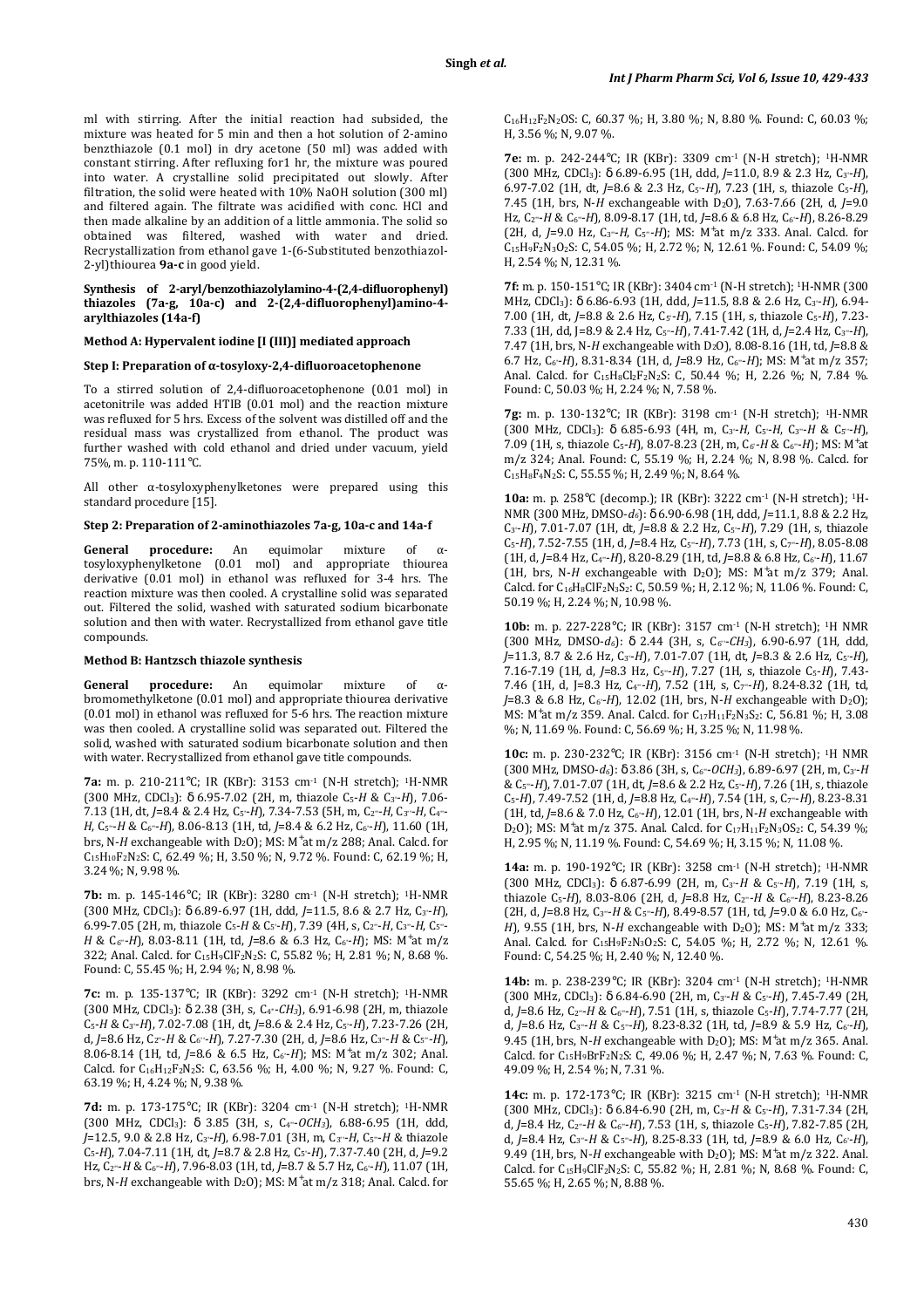ml with stirring. After the initial reaction had subsided, the mixture was heated for 5 min and then a hot solution of 2-amino benzthiazole (0.1 mol) in dry acetone (50 ml) was added with constant stirring. After refluxing for1 hr, the mixture was poured into water. A crystalline solid precipitated out slowly. After filtration, the solid were heated with 10% NaOH solution (300 ml) and filtered again. The filtrate was acidified with conc. HCl and then made alkaline by an addition of a little ammonia. The solid so obtained was filtered, washed with water and dried. Recrystallization from ethanol gave 1-(6-Substituted benzothiazol-2-yl)thiourea **9a-c** in good yield.

### **Synthesis of 2-aryl/benzothiazolylamino-4-(2,4-difluorophenyl) thiazoles (7a-g, 10a-c) and 2-(2,4-difluorophenyl)amino-4 arylthiazoles (14a-f)**

### **Method A: Hypervalent iodine [I (III)] mediated approach**

# **Step I: Preparation of α-tosyloxy-2,4-difluoroacetophenone**

To a stirred solution of 2,4-difluoroacetophenone (0.01 mol) in acetonitrile was added HTIB (0.01 mol) and the reaction mixture was refluxed for 5 hrs. Excess of the solvent was distilled off and the residual mass was crystallized from ethanol. The product was further washed with cold ethanol and dried under vacuum, yield 75%, m. p. 110-111°C.

All other α-tosyloxyphenylketones were prepared using this standard procedure [15].

#### **Step 2: Preparation of 2-aminothiazoles 7a-g, 10a-c and 14a-f**

**General procedure:** An equimolar mixture of αtosyloxyphenylketone (0.01 mol) and appropriate thiourea derivative (0.01 mol) in ethanol was refluxed for 3-4 hrs. The reaction mixture was then cooled. A crystalline solid was separated out. Filtered the solid, washed with saturated sodium bicarbonate solution and then with water. Recrystallized from ethanol gave title compounds.

#### **Method B: Hantzsch thiazole synthesis**

**General procedure:** An equimolar mixture of αbromomethylketone (0.01 mol) and appropriate thiourea derivative (0.01 mol) in ethanol was refluxed for 5-6 hrs. The reaction mixture was then cooled. A crystalline solid was separated out. Filtered the solid, washed with saturated sodium bicarbonate solution and then with water. Recrystallized from ethanol gave title compounds.

**7a:** m. p. 210-211°C; IR (KBr): 3153 cm-1 (N-H stretch); 1H-NMR (300 MHz, CDCl3): δ 6.95-7.02 (2H, m, thiazole C5-*H* & C3'-*H*), 7.06- 7.13 (1H, dt, *J*=8.4 & 2.4 Hz, C5'-*H*), 7.34-7.53 (5H, m, C2''-*H*, C3''-*H*, C4''- *H*, C5''-*H* & C6''-*H*), 8.06-8.13 (1H, td, *J*=8.4 & 6.2 Hz, C6'-*H*), 11.60 (1H, brs, N-H exchangeable with D<sub>2</sub>O); MS: M<sup>+</sup>at m/z 288; Anal. Calcd. for C15H10F2N2S: C, 62.49 %; H, 3.50 %; N, 9.72 %. Found: C, 62.19 %; H, 3.24 %; N, 9.98 %.

**7b:** m. p. 145-146°C; IR (KBr): 3280 cm-1 (N-H stretch); 1H-NMR (300 MHz, CDCl3): δ 6.89-6.97 (1H, ddd, *J*=11.5, 8.6 & 2.7 Hz, C3'-*H*), 6.99-7.05 (2H, m, thiazole C<sub>5</sub>-H & C<sub>5</sub>-H), 7.39 (4H, s, C<sub>2"</sub>-H, C<sub>3"</sub>-H, C<sub>5"</sub>-*H* & C<sub>6"</sub>-*H*), 8.03-8.11 (1H, td, *J*=8.6 & 6.3 Hz, C<sub>6'</sub>-*H*); MS: M<sup>+</sup>at m/z 322; Anal. Calcd. for C15H9ClF2N2S: C, 55.82 %; H, 2.81 %; N, 8.68 %. Found: C, 55.45 %; H, 2.94 %; N, 8.98 %.

**7c:** m. p. 135-137°C; IR (KBr): 3292 cm-1 (N-H stretch); 1H-NMR (300 MHz, CDCl3): δ 2.38 (3H, s, C4''-*CH3*), 6.91-6.98 (2H, m, thiazole C5-*H* & C3'-*H*), 7.02-7.08 (1H, dt, *J*=8.6 & 2.4 Hz, C5'-*H*), 7.23-7.26 (2H, d, *J*=8.6 Hz, C2''-*H* & C6''-*H*), 7.27-7.30 (2H, d, *J*=8.6 Hz, C3''-*H* & C5''-*H*), 8.06-8.14 (1H, td, *J*=8.6 & 6.5 Hz, C6'-*H*); MS: M<sup>+</sup> at m/z 302; Anal. Calcd. for C16H12F2N2S: C, 63.56 %; H, 4.00 %; N, 9.27 %. Found: C, 63.19 %; H, 4.24 %; N, 9.38 %.

**7d:** m. p. 173-175°C; IR (KBr): 3204 cm-1 (N-H stretch); 1H-NMR (300 MHz, CDCl3): δ 3.85 (3H, s, C4''-*OCH3*), 6.88-6.95 (1H, ddd, *J*=12.5, 9.0 & 2.8 Hz, C3'-*H*), 6.98-7.01 (3H, m, C3''-*H*, C5''-*H* & thiazole C5-*H*), 7.04-7.11 (1H, dt, *J*=8.7 & 2.8 Hz, C5'-*H*), 7.37-7.40 (2H, d, *J*=9.2 Hz, C2''-*H* & C6''-*H*), 7.96-8.03 (1H, td, *J*=8.7 & 5.7 Hz, C6'-*H*), 11.07 (1H, brs, N-H exchangeable with D<sub>2</sub>O); MS: M<sup>+</sup>at m/z 318; Anal. Calcd. for C16H12F2N2OS: C, 60.37 %; H, 3.80 %; N, 8.80 %. Found: C, 60.03 %; H, 3.56 %; N, 9.07 %.

**7e:** m. p. 242-244°C; IR (KBr): 3309 cm-1 (N-H stretch); 1H-NMR (300 MHz, CDCl3): δ 6.89-6.95 (1H, ddd, *J*=11.0, 8.9 & 2.3 Hz, C3'-*H*), 6.97-7.02 (1H, dt, *J*=8.6 & 2.3 Hz, C5'-*H*), 7.23 (1H, s, thiazole C5-*H*), 7.45 (1H, brs, N-H exchangeable with D<sub>2</sub>O), 7.63-7.66 (2H, d, J=9.0) Hz, C2''-*H* & C6''-*H*), 8.09-8.17 (1H, td, *J*=8.6 & 6.8 Hz, C6'-*H*), 8.26-8.29 (2H, d, *J*=9.0 Hz, C3''-*H*, C5''-*H*); MS: M<sup>+</sup> at m/z 333. Anal. Calcd. for C15H9F2N3O2S: C, 54.05 %; H, 2.72 %; N, 12.61 %. Found: C, 54.09 %; H, 2.54 %; N, 12.31 %.

**7f:** m. p. 150-151°C; IR (KBr): 3404 cm-1 (N-H stretch); 1H-NMR (300 MHz, CDCl3): δ 6.86-6.93 (1H, ddd, *J*=11.5, 8.8 & 2.6 Hz, C3'-*H*), 6.94- 7.00 (1H, dt,  $J=8.8$  & 2.6 Hz,  $C_5$ - $H$ ), 7.15 (1H, s, thiazole  $C_5$ - $H$ ), 7.23-7.33 (1H, dd, J=8.9 & 2.4 Hz, C5''-*H*), 7.41-7.42 (1H, d, *J*=2.4 Hz, C3''-*H*), 7.47 (1H, brs, N-H exchangeable with D<sub>2</sub>O), 8.08-8.16 (1H, td,  $I=8.8$  & 6.7 Hz, C6'-*H*), 8.31-8.34 (1H, d, *J*=8.9 Hz, C6''-*H*); MS: M<sup>+</sup> at m/z 357; Anal. Calcd. for C<sub>15</sub>H<sub>8</sub>Cl<sub>2</sub>F<sub>2</sub>N<sub>2</sub>S: C, 50.44 %; H, 2.26 %; N, 7.84 %. Found: C, 50.03 %; H, 2.24 %; N, 7.58 %.

**7g:** m. p. 130-132°C; IR (KBr): 3198 cm-1 (N-H stretch); 1H-NMR (300 MHz, CDCl3): δ 6.85-6.93 (4H, m, C3'-*H*, C5'-*H*, C3''-*H* & C5''-*H*), 7.09 (1H, s, thiazole C<sub>5</sub>-H), 8.07-8.23 (2H, m, C<sub>6'</sub>-H & C<sub>6"</sub>-H); MS: M<sup>+</sup>at m/z 324; Anal. Found: C, 55.19 %; H, 2.24 %; N, 8.98 %. Calcd. for  $C_{15}H_8F_4N_2S$ : C, 55.55 %; H, 2.49 %; N, 8.64 %.

**10a:** m. p. 258°C (decomp.); IR (KBr): 3222 cm-1 (N-H stretch); 1H-NMR (300 MHz, DMSO-*d6*): δ 6.90-6.98 (1H, ddd, *J*=11.1, 8.8 & 2.2 Hz, C3'-*H*), 7.01-7.07 (1H, dt, *J*=8.8 & 2.2 Hz, C5'-*H*), 7.29 (1H, s, thiazole C5-*H*), 7.52-7.55 (1H, d, *J*=8.4 Hz, C5''-*H*), 7.73 (1H, s, C7''-*H*), 8.05-8.08 (1H, d, *J*=8.4 Hz, C4''-*H*), 8.20-8.29 (1H, td, *J*=8.8 & 6.8 Hz, C6'-*H*), 11.67 (1H, brs, N- $H$  exchangeable with  $D_2O$ ); MS: M<sup>+</sup>at m/z 379; Anal. Calcd. for C16H8ClF2N3S2: C, 50.59 %; H, 2.12 %; N, 11.06 %. Found: C, 50.19 %; H, 2.24 %; N, 10.98 %.

10b: m. p. 227-228°C; IR (KBr): 3157 cm<sup>-1</sup> (N-H stretch); <sup>1</sup>H NMR (300 MHz, DMSO-*d6*): δ 2.44 (3H, s, C6''-*CH3*), 6.90-6.97 (1H, ddd, *J*=11.3, 8.7 & 2.6 Hz, C3'-*H*), 7.01-7.07 (1H, dt, *J*=8.3 & 2.6 Hz, C5'-*H*), 7.16-7.19 (1H, d, *J*=8.3 Hz, C5''-*H*), 7.27 (1H, s, thiazole C5-*H*), 7.43- 7.46 (1H, d, J=8.3 Hz, C4''-*H*), 7.52 (1H, s, C7''-*H*), 8.24-8.32 (1H, td, *J*=8.3 & 6.8 Hz, C<sub>6</sub> $-H$ ), 12.02 (1H, brs, N-H exchangeable with D<sub>2</sub>O); MS: M<sup>+</sup>at m/z 359. Anal. Calcd. for C<sub>17</sub>H<sub>11</sub>F<sub>2</sub>N<sub>3</sub>S<sub>2</sub>: C, 56.81 %; H, 3.08 %; N, 11.69 %. Found: C, 56.69 %; H, 3.25 %; N, 11.98 %.

**10c:** m. p. 230-232°C; IR (KBr): 3156 cm-1 (N-H stretch); 1H NMR (300 MHz, DMSO-*d6*): δ 3.86 (3H, s, C6''-*OCH3*), 6.89-6.97 (2H, m, C3'-*H* & C5''-*H*), 7.01-7.07 (1H, dt, *J*=8.6 & 2.2 Hz, C5'-*H*), 7.26 (1H, s, thiazole C5-*H*), 7.49-7.52 (1H, d, *J*=8.8 Hz, C4''-*H*), 7.54 (1H, s, C7''-*H*), 8.23-8.31 (1H, td, *J*=8.6 & 7.0 Hz, C6'-*H*), 12.01 (1H, brs, N-*H* exchangeable with D<sub>2</sub>O); MS: M<sup>+</sup>at m/z 375. Anal. Calcd. for C<sub>17</sub>H<sub>11</sub>F<sub>2</sub>N<sub>3</sub>OS<sub>2</sub>: C, 54.39 %; H, 2.95 %; N, 11.19 %. Found: C, 54.69 %; H, 3.15 %; N, 11.08 %.

**14a:** m. p. 190-192°C; IR (KBr): 3258 cm-1 (N-H stretch); 1H-NMR (300 MHz, CDCl3): δ 6.87-6.99 (2H, m, C3'-*H* & C5'-*H*), 7.19 (1H, s, thiazole C5-*H*), 8.03-8.06 (2H, d, *J*=8.8 Hz, C2''-*H* & C6''-*H*), 8.23-8.26 (2H, d, *J*=8.8 Hz, C3''-*H* & C5''-*H*), 8.49-8.57 (1H, td, *J*=9.0 & 6.0 Hz, C6'-  $H$ ), 9.55 (1H, brs, N- $H$  exchangeable with D<sub>2</sub>O); MS: M<sup>+</sup>at m/z 333; Anal. Calcd. for C<sub>15</sub>H<sub>9</sub>F<sub>2</sub>N<sub>3</sub>O<sub>2</sub>S: C, 54.05 %; H, 2.72 %; N, 12.61 %. Found: C, 54.25 %; H, 2.40 %; N, 12.40 %.

**14b:** m. p. 238-239°C; IR (KBr): 3204 cm-1 (N-H stretch); 1H-NMR (300 MHz, CDCl3): δ 6.84-6.90 (2H, m, C3'-*H* & C5'-*H*), 7.45-7.49 (2H, d, *J*=8.6 Hz, C2''-*H* & C6''-*H*), 7.51 (1H, s, thiazole C5-*H*), 7.74-7.77 (2H, d, *J*=8.6 Hz, C3''-*H* & C5''-*H*), 8.23-8.32 (1H, td, *J*=8.9 & 5.9 Hz, C6'-*H*), 9.45 (1H, brs, N-H exchangeable with  $D_2O$ ); MS: M<sup>+</sup>at m/z 365. Anal. Calcd. for C15H9BrF2N2S: C, 49.06 %; H, 2.47 %; N, 7.63 %. Found: C, 49.09 %; H, 2.54 %; N, 7.31 %.

**14c:** m. p. 172-173°C; IR (KBr): 3215 cm<sup>-1</sup> (N-H stretch); <sup>1</sup>H-NMR (300 MHz, CDCl3): δ 6.84-6.90 (2H, m, C3'-*H* & C5'-*H*), 7.31-7.34 (2H, d, *J*=8.4 Hz, C2''-*H* & C6''-*H*), 7.53 (1H, s, thiazole C5-*H*), 7.82-7.85 (2H, d, *J*=8.4 Hz, C3''-*H* & C5''-*H*), 8.25-8.33 (1H, td, *J*=8.9 & 6.0 Hz, C6'-*H*), 9.49 (1H, brs, N-H exchangeable with D<sub>2</sub>O); MS: M<sup>+</sup>at m/z 322. Anal. Calcd. for  $C_{15}H_9CIF_2N_2S$ : C, 55.82 %; H, 2.81 %; N, 8.68 %. Found: C, 55.65 %; H, 2.65 %; N, 8.88 %.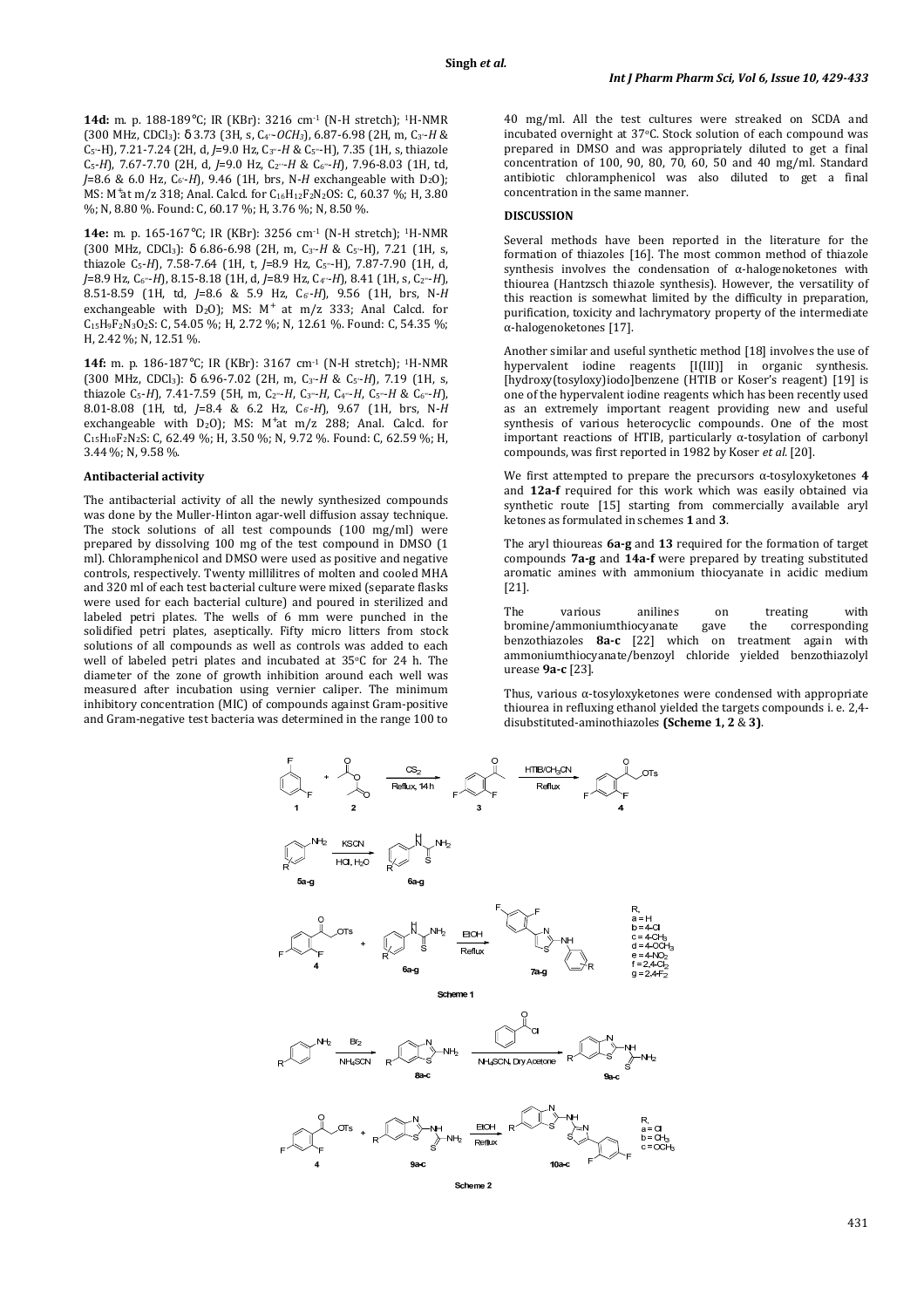**14d:** m. p. 188-189°C; IR (KBr): 3216 cm-1 (N-H stretch); 1H-NMR (300 MHz, CDCl3): δ 3.73 (3H, s, C4''-*OCH3*), 6.87-6.98 (2H, m, C3'-*H* & C5'-H), 7.21-7.24 (2H, d, *J*=9.0 Hz, C3''-*H* & C5''-H), 7.35 (1H, s, thiazole C5-*H*), 7.67-7.70 (2H, d, *J*=9.0 Hz, C2''-*H* & C6''-*H*), 7.96-8.03 (1H, td,  $J=8.6$  & 6.0 Hz,  $C_6$ -*H*), 9.46 (1H, brs, N-*H* exchangeable with D<sub>2</sub>O); MS: M<sup>+</sup>at m/z 318; Anal. Calcd. for C<sub>16</sub>H<sub>12</sub>F<sub>2</sub>N<sub>2</sub>OS: C, 60.37 %; H, 3.80 %; N, 8.80 %. Found: C, 60.17 %; H, 3.76 %; N, 8.50 %.

**14e:** m. p. 165-167°C; IR (KBr): 3256 cm-1 (N-H stretch); 1H-NMR (300 MHz, CDCl3): δ 6.86-6.98 (2H, m, C3'-*H* & C5'-H), 7.21 (1H, s, thiazole C5-*H*), 7.58-7.64 (1H, t, *J*=8.9 Hz, C5''-H), 7.87-7.90 (1H, d, *J*=8.9 Hz, C6''-*H*), 8.15-8.18 (1H, d, *J*=8.9 Hz, C4''-*H*), 8.41 (1H, s, C2''-*H*), 8.51-8.59 (1H, td, *J*=8.6 & 5.9 Hz, C6'-*H*), 9.56 (1H, brs, N-*H* exchangeable with  $D_2O$ ); MS: M<sup>+</sup> at m/z 333; Anal Calcd. for C15H9F2N3O2S: C, 54.05 %; H, 2.72 %; N, 12.61 %. Found: C, 54.35 %; H, 2.42 %; N, 12.51 %.

**14f:** m. p. 186-187°C; IR (KBr): 3167 cm-1 (N-H stretch); 1H-NMR (300 MHz, CDCl3): δ 6.96-7.02 (2H, m, C3'-*H* & C5'-*H*), 7.19 (1H, s, thiazole C5-*H*), 7.41-7.59 (5H, m, C2''-*H*, C3''-*H*, C4''-*H*, C5''-*H* & C6''-*H*), 8.01-8.08 (1H, td, *J*=8.4 & 6.2 Hz, C6'-*H*), 9.67 (1H, brs, N-*H* exchangeable with  $D_2O$ ; MS: M<sup>+</sup>at m/z 288; Anal. Calcd. for C15H10F2N2S: C, 62.49 %; H, 3.50 %; N, 9.72 %. Found: C, 62.59 %; H, 3.44 %; N, 9.58 %.

#### **Antibacterial activity**

The antibacterial activity of all the newly synthesized compounds was done by the Muller-Hinton agar-well diffusion assay technique. The stock solutions of all test compounds (100 mg/ml) were prepared by dissolving 100 mg of the test compound in DMSO (1 ml). Chloramphenicol and DMSO were used as positive and negative controls, respectively. Twenty millilitres of molten and cooled MHA and 320 ml of each test bacterial culture were mixed (separate flasks were used for each bacterial culture) and poured in sterilized and labeled petri plates. The wells of 6 mm were punched in the solidified petri plates, aseptically. Fifty micro litters from stock solutions of all compounds as well as controls was added to each well of labeled petri plates and incubated at 35°C for 24 h. The diameter of the zone of growth inhibition around each well was measured after incubation using vernier caliper. The minimum inhibitory concentration (MIC) of compounds against Gram-positive and Gram-negative test bacteria was determined in the range 100 to

40 mg/ml. All the test cultures were streaked on SCDA and incubated overnight at 37°C. Stock solution of each compound was prepared in DMSO and was appropriately diluted to get a final concentration of 100, 90, 80, 70, 60, 50 and 40 mg/ml. Standard antibiotic chloramphenicol was also diluted to get a final concentration in the same manner.

### **DISCUSSION**

Several methods have been reported in the literature for the formation of thiazoles [16]. The most common method of thiazole synthesis involves the condensation of α-halogenoketones with thiourea (Hantzsch thiazole synthesis). However, the versatility of this reaction is somewhat limited by the difficulty in preparation, purification, toxicity and lachrymatory property of the intermediate α-halogenoketones [17].

Another similar and useful synthetic method [18] involves the use of hypervalent iodine reagents [I(III)] in organic synthesis. [hydroxy(tosyloxy)iodo]benzene (HTIB or Koser's reagent) [19] is one of the hypervalent iodine reagents which has been recently used as an extremely important reagent providing new and useful synthesis of various heterocyclic compounds. One of the most important reactions of HTIB, particularly α-tosylation of carbonyl compounds, was first reported in 1982 by Koser *et al.* [20].

We first attempted to prepare the precursors α-tosyloxyketones **4**  and **12a-f** required for this work which was easily obtained via synthetic route [15] starting from commercially available aryl ketones as formulated in schemes **1** and **3**.

The aryl thioureas **6a-g** and **13** required for the formation of target compounds **7a-g** and **14a-f** were prepared by treating substituted aromatic amines with ammonium thiocyanate in acidic medium [21].

The various anilines on treating with bromine/ammoniumthiocyanate gave the corresponding benzothiazoles **8a-c** [22] which on treatment again with ammoniumthiocyanate/benzoyl chloride yielded benzothiazolyl urease **9a-c** [23].

Thus, various α-tosyloxyketones were condensed with appropriate thiourea in refluxing ethanol yielded the targets compounds i. e. 2,4 disubstituted-aminothiazoles **(Scheme 1, 2** & **3)**.



Scheme 2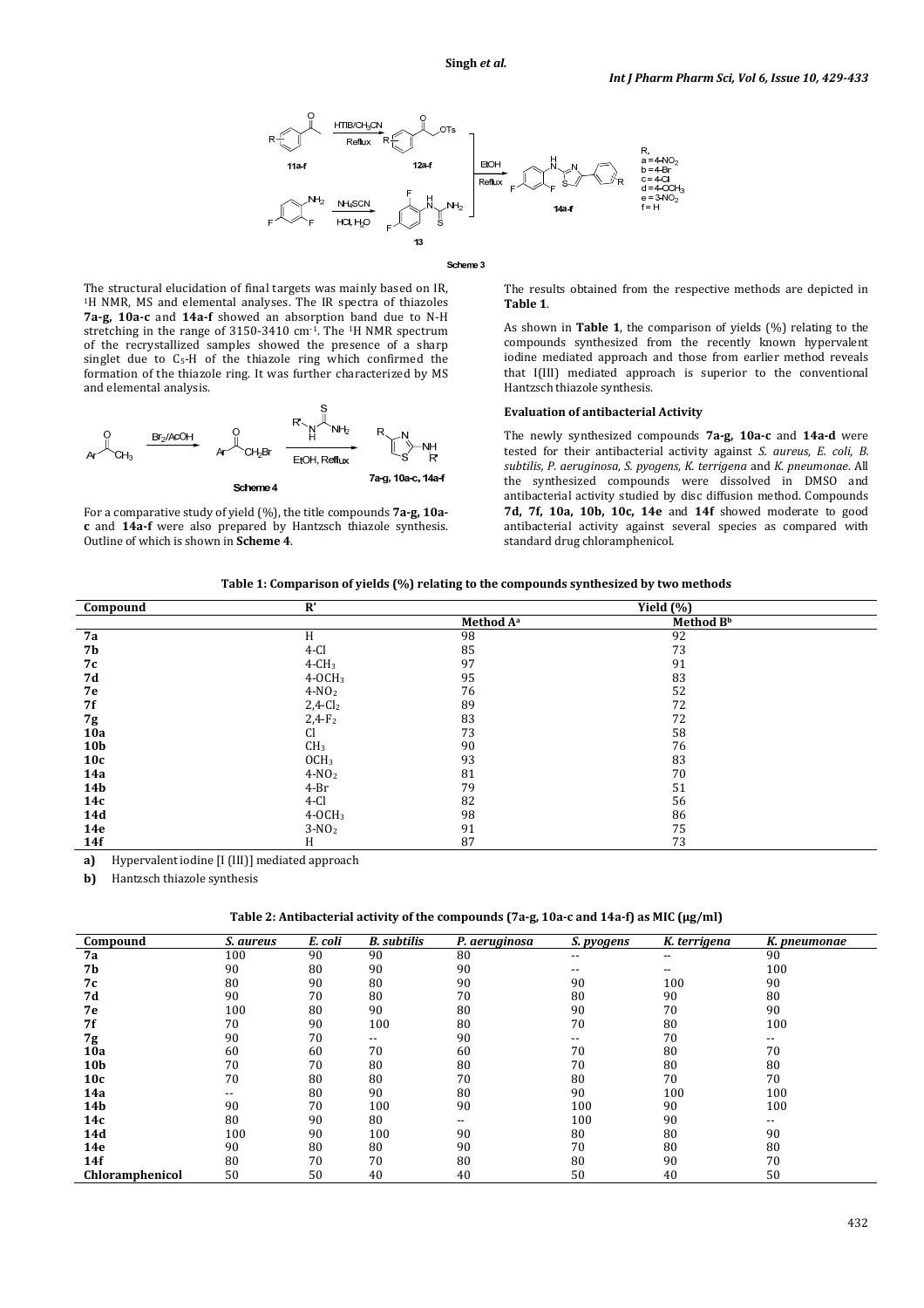

#### Scheme 3

The structural elucidation of final targets was mainly based on IR, <sup>1</sup>H NMR, MS and elemental analyses. The IR spectra of thiazoles **7a-g, 10a-c** and **14a-f** showed an absorption band due to N-H stretching in the range of 3150-3410 cm-1. The 1H NMR spectrum of the recrystallized samples showed the presence of a sharp singlet due to C<sub>5</sub>-H of the thiazole ring which confirmed the formation of the thiazole ring. It was further characterized by MS and elemental analysis.



For a comparative study of yield (%), the title compounds **7a-g, 10ac** and **14a-f** were also prepared by Hantzsch thiazole synthesis. Outline of which is shown in **Scheme 4**.

The results obtained from the respective methods are depicted in **Table 1**.

As shown in **Table 1**, the comparison of yields (%) relating to the compounds synthesized from the recently known hypervalent iodine mediated approach and those from earlier method reveals that I(III) mediated approach is superior to the conventional Hantzsch thiazole synthesis.

### **Evaluation of antibacterial Activity**

The newly synthesized compounds **7a-g, 10a-c** and **14a-d** were tested for their antibacterial activity against *S. aureus, E. coli, B. subtilis, P. aeruginosa, S. pyogens, K. terrigena* and *K. pneumonae*. All the synthesized compounds were dissolved in DMSO and antibacterial activity studied by disc diffusion method. Compounds **7d, 7f, 10a, 10b, 10c, 14e** and **14f** showed moderate to good antibacterial activity against several species as compared with standard drug chloramphenicol.

| Table 1: Comparison of yields (%) relating to the compounds synthesized by two methods |  |  |  |
|----------------------------------------------------------------------------------------|--|--|--|
|----------------------------------------------------------------------------------------|--|--|--|

| Compound        | $\mathbf{R}'$          | $\overline{\text{Yield}}(\%)$ |                       |  |  |
|-----------------|------------------------|-------------------------------|-----------------------|--|--|
|                 |                        | Method A <sup>a</sup>         | Method B <sup>b</sup> |  |  |
| 7a              | H                      | 98                            | 92                    |  |  |
| 7b              | $4-Cl$                 | 85                            | 73                    |  |  |
| 7с              | $4-CH3$                | 97                            | 91                    |  |  |
| 7d              | $4-0CH3$               | 95                            | 83                    |  |  |
| 7е              | $4-NO2$                | 76                            | 52                    |  |  |
| 7f              | $2,4$ -Cl <sub>2</sub> | 89                            | 72                    |  |  |
| 7g              | $2,4-F_2$              | 83                            | 72                    |  |  |
| 10a             | Cl                     | 73                            | 58                    |  |  |
| 10 <sub>b</sub> | CH <sub>3</sub>        | 90                            | 76                    |  |  |
| 10c             | OCH <sub>3</sub>       | 93                            | 83                    |  |  |
| 14a             | $4-NO2$                | 81                            | 70                    |  |  |
| <b>14b</b>      | $4-Br$                 | 79                            | 51                    |  |  |
| 14c             | $4-Cl$                 | 82                            | 56                    |  |  |
| 14d             | $4-0CH3$               | 98                            | 86                    |  |  |
| 14e             | $3-NO2$                | 91                            | 75                    |  |  |
| 14f             | H                      | 87                            | 73                    |  |  |

**a)** Hypervalent iodine [I (III)] mediated approach

**b)** Hantzsch thiazole synthesis

**Table 2: Antibacterial activity of the compounds (7a-g, 10a-c and 14a-f) as MIC (μg/ml)** 

| Compound        | S. aureus                | E. coli | <b>B.</b> subtilis       | P. aeruginosa | S. pyogens               | K. terrigena             | K. pneumonae |
|-----------------|--------------------------|---------|--------------------------|---------------|--------------------------|--------------------------|--------------|
| <b>7a</b>       | 100                      | 90      | 90                       | 80            | $- -$                    | $\overline{\phantom{a}}$ | 90           |
| 7b              | 90                       | 80      | 90                       | 90            | $- -$                    | $- -$                    | 100          |
| 7с              | 80                       | 90      | 80                       | 90            | 90                       | 100                      | 90           |
| 7d              | 90                       | 70      | 80                       | 70            | 80                       | 90                       | 80           |
| 7е              | 100                      | 80      | 90                       | 80            | 90                       | 70                       | 90           |
| 7f              | 70                       | 90      | 100                      | 80            | 70                       | 80                       | 100          |
| 7g              | 90                       | 70      | $\overline{\phantom{a}}$ | 90            | $\overline{\phantom{a}}$ | 70                       | $- -$        |
| 10a             | 60                       | 60      | 70                       | 60            | 70                       | 80                       | 70           |
| 10 <sub>b</sub> | 70                       | 70      | 80                       | 80            | 70                       | 80                       | 80           |
| 10c             | 70                       | 80      | 80                       | 70            | 80                       | 70                       | 70           |
| 14a             | $\overline{\phantom{a}}$ | 80      | 90                       | 80            | 90                       | 100                      | 100          |
| <b>14b</b>      | 90                       | 70      | 100                      | 90            | 100                      | 90                       | 100          |
| 14c             | 80                       | 90      | 80                       | $- -$         | 100                      | 90                       | $- -$        |
| 14d             | 100                      | 90      | 100                      | 90            | 80                       | 80                       | 90           |
| 14e             | 90                       | 80      | 80                       | 90            | 70                       | 80                       | 80           |
| 14f             | 80                       | 70      | 70                       | 80            | 80                       | 90                       | 70           |
| Chloramphenicol | 50                       | 50      | 40                       | 40            | 50                       | 40                       | 50           |